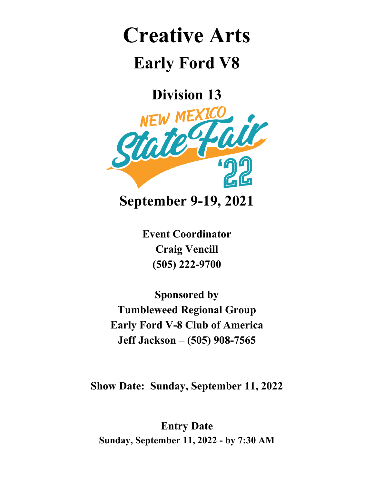# **Creative Arts**

## **Early Ford V8**

**Division 13**



**Event Coordinator**

**Craig Vencill (505) 222-9700**

**Sponsored by Tumbleweed Regional Group Early Ford V-8 Club of America Jeff Jackson – (505) 908-7565**

**Show Date: Sunday, September 11, 2022**

**Entry Date Sunday, September 11, 2022 - by 7:30 AM**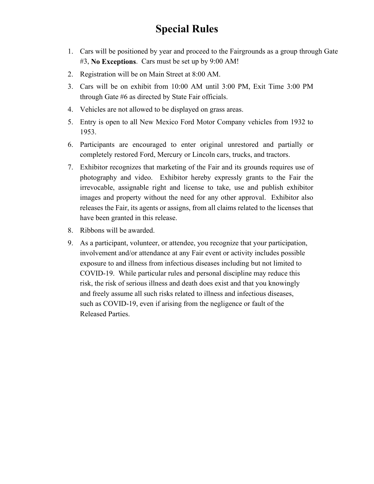#### **Special Rules**

- 1. Cars will be positioned by year and proceed to the Fairgrounds as a group through Gate #3, **No Exceptions**. Cars must be set up by 9:00 AM!
- 2. Registration will be on Main Street at 8:00 AM.
- 3. Cars will be on exhibit from 10:00 AM until 3:00 PM, Exit Time 3:00 PM through Gate #6 as directed by State Fair officials.
- 4. Vehicles are not allowed to be displayed on grass areas.
- 5. Entry is open to all New Mexico Ford Motor Company vehicles from 1932 to 1953.
- 6. Participants are encouraged to enter original unrestored and partially or completely restored Ford, Mercury or Lincoln cars, trucks, and tractors.
- 7. Exhibitor recognizes that marketing of the Fair and its grounds requires use of photography and video. Exhibitor hereby expressly grants to the Fair the irrevocable, assignable right and license to take, use and publish exhibitor images and property without the need for any other approval. Exhibitor also releases the Fair, its agents or assigns, from all claims related to the licenses that have been granted in this release.
- 8. Ribbons will be awarded.
- 9. As a participant, volunteer, or attendee, you recognize that your participation, involvement and/or attendance at any Fair event or activity includes possible exposure to and illness from infectious diseases including but not limited to COVID-19. While particular rules and personal discipline may reduce this risk, the risk of serious illness and death does exist and that you knowingly and freely assume all such risks related to illness and infectious diseases, such as COVID-19, even if arising from the negligence or fault of the Released Parties.